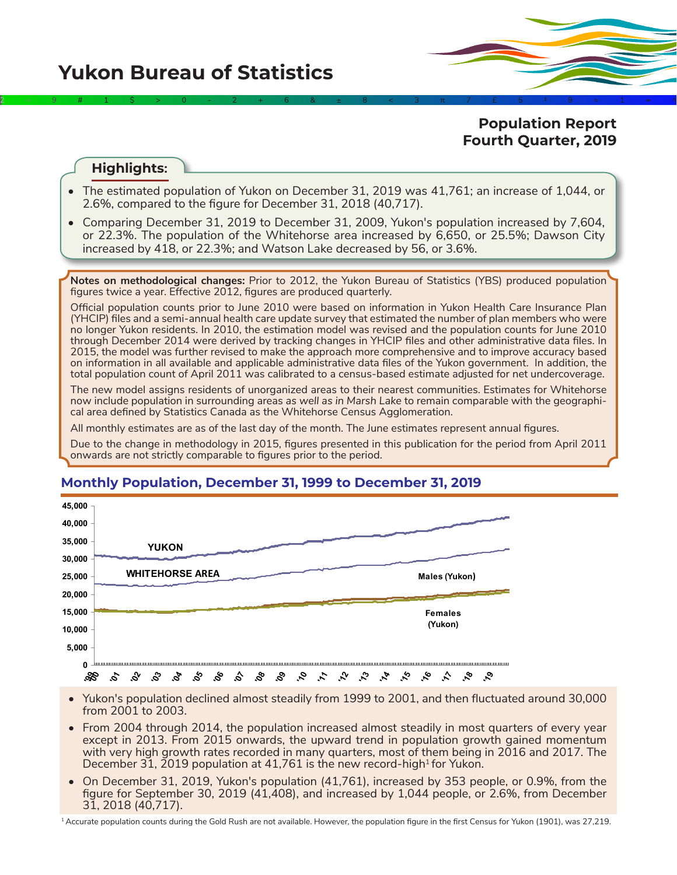**Yukon Bureau of Statistics** 

**Population Report Fourth Quarter, 2019**

## **Highlights:**

• The estimated population of Yukon on December 31, 2019 was 41,761; an increase of 1,044, or 2.6%, compared to the figure for December 31, 2018 (40,717).

2÷9#1\$>0-2+6&±8<3π7£5‡9≈1∞^

• Comparing December 31, 2019 to December 31, 2009, Yukon's population increased by 7,604, or 22.3%. The population of the Whitehorse area increased by 6,650, or 25.5%; Dawson City increased by 418, or 22.3%; and Watson Lake decreased by 56, or 3.6%.

**Notes on methodological changes:** Prior to 2012, the Yukon Bureau of Statistics (YBS) produced population figures twice a year. Effective 2012, figures are produced quarterly.

Official population counts prior to June 2010 were based on information in Yukon Health Care Insurance Plan (YHCIP) files and a semi-annual health care update survey that estimated the number of plan members who were no longer Yukon residents. In 2010, the estimation model was revised and the population counts for June 2010 through December 2014 were derived by tracking changes in YHCIP files and other administrative data files. In 2015, the model was further revised to make the approach more comprehensive and to improve accuracy based on information in all available and applicable administrative data files of the Yukon government. In addition, the total population count of April 2011 was calibrated to a census-based estimate adjusted for net undercoverage.

The new model assigns residents of unorganized areas to their nearest communities. Estimates for Whitehorse now include population in surrounding areas *as well as in Marsh Lake* to remain comparable with the geographical area defined by Statistics Canada as the Whitehorse Census Agglomeration.

All monthly estimates are as of the last day of the month. The June estimates represent annual figures.

Due to the change in methodology in 2015, figures presented in this publication for the period from April 2011 onwards are not strictly comparable to figures prior to the period.



# **Monthly Population, December 31, 1999 to December 31, 2019**

• Yukon's population declined almost steadily from 1999 to 2001, and then fluctuated around 30,000 from 2001 to 2003.

- From 2004 through 2014, the population increased almost steadily in most quarters of every year except in 2013. From 2015 onwards, the upward trend in population growth gained momentum with very high growth rates recorded in many quarters, most of them being in 2016 and 2017. The December 31, 2019 population at 41,761 is the new record-high<sup>1</sup> for Yukon.
- On December 31, 2019, Yukon's population (41,761), increased by 353 people, or 0.9%, from the figure for September 30, 2019 (41,408), and increased by 1,044 people, or 2.6%, from December 31, 2018 (40,717).

<sup>1</sup> Accurate population counts during the Gold Rush are not available. However, the population figure in the first Census for Yukon (1901), was 27,219.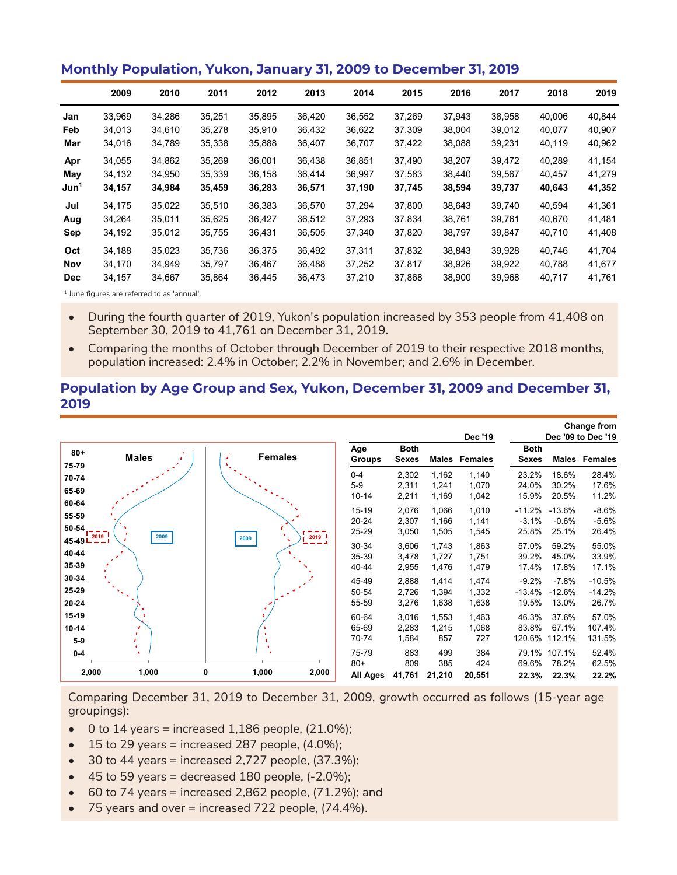### **Monthly Population, Yukon, January 31, 2009 to December 31, 2019**

|                  | 2009   | 2010   | 2011   | 2012   | 2013   | 2014   | 2015   | 2016   | 2017   | 2018   | 2019   |
|------------------|--------|--------|--------|--------|--------|--------|--------|--------|--------|--------|--------|
| Jan              | 33,969 | 34,286 | 35,251 | 35,895 | 36,420 | 36,552 | 37,269 | 37,943 | 38,958 | 40,006 | 40,844 |
| Feb              | 34,013 | 34,610 | 35,278 | 35,910 | 36,432 | 36,622 | 37,309 | 38,004 | 39,012 | 40,077 | 40,907 |
| Mar              | 34,016 | 34,789 | 35,338 | 35,888 | 36,407 | 36,707 | 37,422 | 38,088 | 39,231 | 40,119 | 40,962 |
| Apr              | 34,055 | 34,862 | 35,269 | 36,001 | 36.438 | 36,851 | 37,490 | 38,207 | 39.472 | 40,289 | 41,154 |
| May              | 34,132 | 34,950 | 35,339 | 36,158 | 36.414 | 36.997 | 37.583 | 38,440 | 39.567 | 40,457 | 41,279 |
| Jun <sup>1</sup> | 34,157 | 34,984 | 35,459 | 36,283 | 36,571 | 37,190 | 37,745 | 38,594 | 39,737 | 40,643 | 41,352 |
| Jul              | 34.175 | 35,022 | 35,510 | 36,383 | 36.570 | 37.294 | 37.800 | 38.643 | 39.740 | 40.594 | 41,361 |
| Aug              | 34,264 | 35,011 | 35,625 | 36,427 | 36,512 | 37,293 | 37,834 | 38,761 | 39,761 | 40,670 | 41,481 |
| Sep              | 34,192 | 35,012 | 35,755 | 36,431 | 36,505 | 37,340 | 37,820 | 38,797 | 39,847 | 40,710 | 41,408 |
| Oct              | 34,188 | 35,023 | 35,736 | 36,375 | 36,492 | 37,311 | 37,832 | 38,843 | 39,928 | 40,746 | 41,704 |
| <b>Nov</b>       | 34,170 | 34.949 | 35,797 | 36,467 | 36.488 | 37,252 | 37,817 | 38.926 | 39.922 | 40,788 | 41,677 |
| <b>Dec</b>       | 34,157 | 34,667 | 35,864 | 36,445 | 36,473 | 37,210 | 37,868 | 38,900 | 39,968 | 40,717 | 41,761 |

<sup>1</sup> June figures are referred to as 'annual'.

- During the fourth quarter of 2019, Yukon's population increased by 353 people from 41,408 on September 30, 2019 to 41,761 on December 31, 2019.
- Comparing the months of October through December of 2019 to their respective 2018 months, population increased: 2.4% in October; 2.2% in November; and 2.6% in December.

#### **Population by Age Group and Sex, Yukon, December 31, 2009 and December 31, 2019**

|                                 |              |                             |       |                             |                             |                         | <b>Dec '19</b>          |                              |                              | <b>Change from</b><br>Dec '09 to Dec '19 |
|---------------------------------|--------------|-----------------------------|-------|-----------------------------|-----------------------------|-------------------------|-------------------------|------------------------------|------------------------------|------------------------------------------|
| $80 +$<br>75-79                 | <b>Males</b> | <b>Females</b><br>$\bullet$ |       | Age<br>Groups               | <b>Both</b><br><b>Sexes</b> |                         | Males Females           | <b>Both</b><br><b>Sexes</b>  | Males                        | Females                                  |
| 70-74<br>65-69                  |              |                             |       | $0 - 4$<br>$5-9$<br>10-14   | 2,302<br>2,311<br>2,211     | 1,162<br>1,241<br>1,169 | 1,140<br>1,070<br>1,042 | 23.2%<br>24.0%<br>15.9%      | 18.6%<br>30.2%<br>20.5%      | 28.4%<br>17.6%<br>11.2%                  |
| 60-64<br>55-59<br>50-54<br>2019 | 2009         | 2009                        | 2019  | $15 - 19$<br>20-24<br>25-29 | 2,076<br>2,307<br>3,050     | 1,066<br>1,166<br>1,505 | 1,010<br>1,141<br>1,545 | $-11.2%$<br>$-3.1%$<br>25.8% | $-13.6%$<br>$-0.6%$<br>25.1% | $-8.6%$<br>$-5.6%$<br>26.4%              |
| 45-49<br>40-44<br>35-39         |              |                             |       | 30-34<br>35-39<br>40-44     | 3,606<br>3,478<br>2,955     | 1,743<br>1,727<br>1,476 | 1,863<br>1,751<br>1,479 | 57.0%<br>39.2%<br>17.4%      | 59.2%<br>45.0%<br>17.8%      | 55.0%<br>33.9%<br>17.1%                  |
| 30-34<br>25-29<br>20-24         |              |                             |       | 45-49<br>50-54<br>55-59     | 2,888<br>2,726<br>3,276     | 1,414<br>1,394<br>1,638 | 1,474<br>1,332<br>1,638 | $-9.2%$<br>$-13.4%$<br>19.5% | $-7.8%$<br>$-12.6%$<br>13.0% | $-10.5%$<br>$-14.2%$<br>26.7%            |
| 15-19<br>$10 - 14$<br>$5-9$     |              |                             |       | 60-64<br>65-69<br>70-74     | 3,016<br>2,283<br>1,584     | 1,553<br>1,215<br>857   | 1,463<br>1,068<br>727   | 46.3%<br>83.8%<br>120.6%     | 37.6%<br>67.1%<br>112.1%     | 57.0%<br>107.4%<br>131.5%                |
| $0-4$<br>2,000                  | ٠<br>1,000   | 1,000<br>0                  | 2,000 | 75-79<br>$80+$<br>All Ages  | 883<br>809<br>41,761        | 499<br>385<br>21,210    | 384<br>424<br>20,551    | 79.1%<br>69.6%<br>22.3%      | 107.1%<br>78.2%<br>22.3%     | 52.4%<br>62.5%<br>22.2%                  |

Comparing December 31, 2019 to December 31, 2009, growth occurred as follows (15-year age groupings):

- $\bullet$  0 to 14 years = increased 1,186 people, (21.0%);
- $\bullet$  15 to 29 years = increased 287 people, (4.0%);
- $\bullet$  30 to 44 years = increased 2,727 people, (37.3%);
- $\bullet$  45 to 59 years = decreased 180 people,  $(-2.0\%)$ ;
- $\bullet$  60 to 74 years = increased 2,862 people, (71.2%); and
- 75 years and over = increased 722 people, (74.4%).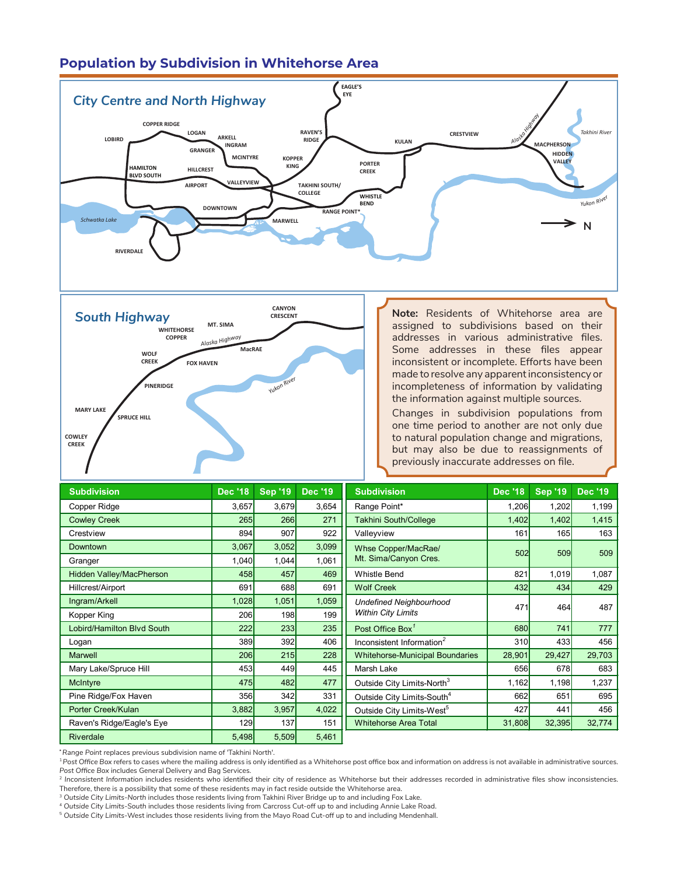# **Population by Subdivision in Whitehorse Area**





**Note:** Residents of Whitehorse area are assigned to subdivisions based on their addresses in various administrative files. Some addresses in these files appear inconsistent or incomplete. Efforts have been made to resolve any apparent inconsistency or incompleteness of information by validating the information against multiple sources. **BL** 

**GRANGER**

**MCINTYRE**

**TAKHINI SOUTH/ COLLEGE**

**KOPPER**

Changes in subdivision populations from one time period to another are not only due to natural population change and migrations, but may also be due to reassignments of previously inaccurate addresses on file.

| <b>Subdivision</b>                | <b>Dec '18</b> | <b>Sep '19</b> | <b>Dec '19</b> | <b>Subdivision</b>                     | <b>Dec '18</b> | <b>Sep '19</b> | <b>Dec '19</b> |
|-----------------------------------|----------------|----------------|----------------|----------------------------------------|----------------|----------------|----------------|
| Copper Ridge                      | 3,657          | 3,679          | 3,654          | Range Point*                           | 1,206          | 1,202          | 1,199          |
| <b>Cowley Creek</b>               | 265            | 266            | 271            | <b>Takhini South/College</b>           | 1,402          | 1,402          | 1,415          |
| Crestview                         | 894            | 907            | 922            | Valleyview                             | 161            | 165            | 163            |
| Downtown                          | 3,067          | 3,052          | 3,099          | Whse Copper/MacRae/                    | 502            | 509            | 509            |
| Granger                           | 1,040          | 1,044          | 1,061          | Mt. Sima/Canyon Cres.                  |                |                |                |
| Hidden Valley/MacPherson          | 458            | 457            | 469            | <b>Whistle Bend</b>                    | 821            | 1,019          | 1,087          |
| Hillcrest/Airport                 | 691            | 688            | 691            | <b>Wolf Creek</b>                      | 432            | 434            | 429            |
| Ingram/Arkell                     | 1,028          | 1,051          | 1,059          | <b>Undefined Neighbourhood</b>         | 471            | 464            | 487            |
| Kopper King                       | 206            | 198            | 199            | <b>Within City Limits</b>              |                |                |                |
| <b>Lobird/Hamilton Blvd South</b> | 222            | 233            | 235            | Post Office Box <sup>1</sup>           | 680            | 741            | 777            |
| Logan                             | 389            | 392            | 406            | Inconsistent Information <sup>2</sup>  | 310            | 433            | 456            |
| <b>Marwell</b>                    | 206            | 215            | 228            | <b>Whitehorse-Municipal Boundaries</b> | 28,901         | 29,427         | 29,703         |
| Mary Lake/Spruce Hill             | 453            | 449            | 445            | Marsh Lake                             | 656            | 678            | 683            |
| McIntyre                          | 475            | 482            | 477            | Outside City Limits-North <sup>3</sup> | 1,162          | 1,198          | 1,237          |
| Pine Ridge/Fox Haven              | 356            | 342            | 331            | Outside City Limits-South <sup>4</sup> | 662            | 651            | 695            |
| Porter Creek/Kulan                | 3,882          | 3,957          | 4,022          | Outside City Limits-West <sup>5</sup>  | 427            | 441            | 456            |
| Raven's Ridge/Eagle's Eye         | 129            | 137            | 151            | <b>Whitehorse Area Total</b>           | 31,808         | 32,395         | 32,774         |
| <b>Riverdale</b>                  | 5,498          | 5,509          | 5,461          |                                        |                |                |                |

**\****Range Point* replaces previous subdivision name of 'Takhini North'.

<sup>1</sup>*Post Office Box* refers to cases where the mailing address is only identified as a Whitehorse post office box and information on address is not available in administrative sources. *Post Office Box* includes General Delivery and Bag Services.

<sup>2</sup> Inconsistent Information includes residents who identified their city of residence as Whitehorse but their addresses recorded in administrative files show inconsistencies. Therefore, there is a possibility that some of these residents may in fact reside outside the Whitehorse area.

<sup>3</sup> *Outside City Limits-North* includes those residents living from Takhini River Bridge up to and including Fox Lake.

<sup>4</sup> *Outside City Limits-South* includes those residents living from Carcross Cut-off up to and including Annie Lake Road.

<sup>5</sup> *Outside City Limits*-West includes those residents living from the Mayo Road Cut-off up to and including Mendenhall.